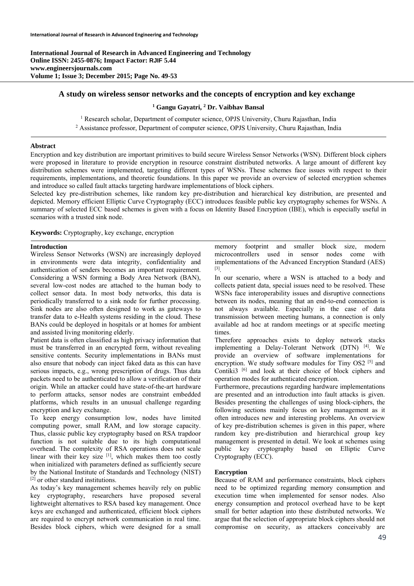### **A study on wireless sensor networks and the concepts of encryption and key exchange**

### <sup>1</sup> Gangu Gayatri, <sup>2</sup> Dr. Vaibhav Bansal

<sup>1</sup> Research scholar, Department of computer science, OPJS University, Churu Rajasthan, India <sup>2</sup> Assistance professor. Department of computer science, OPJS University, Churu Rajasthan, India <sup>2</sup> Assistance professor, Department of computer science, OPJS University, Churu Rajasthan, India

### **Abstract**

Encryption and key distribution are important primitives to build secure Wireless Sensor Networks (WSN). Different block ciphers were proposed in literature to provide encryption in resource constraint distributed networks. A large amount of different key distribution schemes were implemented, targeting different types of WSNs. These schemes face issues with respect to their requirements, implementations, and theoretic foundations. In this paper we provide an overview of selected encryption schemes and introduce so called fault attacks targeting hardware implementations of block ciphers.

Selected key pre-distribution schemes, like random key pre-distribution and hierarchical key distribution, are presented and depicted. Memory efficient Elliptic Curve Cryptography (ECC) introduces feasible public key cryptography schemes for WSNs. A summary of selected ECC based schemes is given with a focus on Identity Based Encryption (IBE), which is especially useful in scenarios with a trusted sink node.

**Keywords:** Cryptography, key exchange, encryption

# **Introduction**

Wireless Sensor Networks (WSN) are increasingly deployed in environments were data integrity, confidentiality and authentication of senders becomes an important requirement. Considering a WSN forming a Body Area Network (BAN), several low-cost nodes are attached to the human body to collect sensor data. In most body networks, this data is periodically transferred to a sink node for further processing. Sink nodes are also often designed to work as gateways to transfer data to e-Health systems residing in the cloud. These BANs could be deployed in hospitals or at homes for ambient and assisted living monitoring elderly.

Patient data is often classified as high privacy information that must be transferred in an encrypted form, without revealing sensitive contents. Security implementations in BANs must also ensure that nobody can inject faked data as this can have serious impacts, e.g., wrong prescription of drugs. Thus data packets need to be authenticated to allow a verification of their origin. While an attacker could have state-of-the-art hardware to perform attacks, sensor nodes are constraint embedded platforms, which results in an unusual challenge regarding encryption and key exchange.

To keep energy consumption low, nodes have limited computing power, small RAM, and low storage capacity. Thus, classic public key cryptography based on RSA trapdoor function is not suitable due to its high computational overhead. The complexity of RSA operations does not scale linear with their key size  $[1]$ , which makes them too costly when initialized with parameters defined as sufficiently secure by the National Institute of Standards and Technology (NIST) [2] or other standard institutions.

As today's key management schemes heavily rely on public key cryptography, researchers have proposed several lightweight alternatives to RSA based key management. Once keys are exchanged and authenticated, efficient block ciphers are required to encrypt network communication in real time. Besides block ciphers, which were designed for a small

memory footprint and smaller block size, modern microcontrollers used in sensor nodes come with implementations of the Advanced Encryption Standard (AES) [3].

In our scenario, where a WSN is attached to a body and collects patient data, special issues need to be resolved. These WSNs face interoperability issues and disruptive connections between its nodes, meaning that an end-to-end connection is not always available. Especially in the case of data transmission between meeting humans, a connection is only available ad hoc at random meetings or at specific meeting times.

Therefore approaches exists to deploy network stacks implementing a Delay-Tolerant Network (DTN) [4]. We provide an overview of software implementations for encryption. We study software modules for Tiny  $OS2$  [5] and Contiki3<sup>[6]</sup> and look at their choice of block ciphers and operation modes for authenticated encryption.

Furthermore, precautions regarding hardware implementations are presented and an introduction into fault attacks is given. Besides presenting the challenges of using block-ciphers, the following sections mainly focus on key management as it often introduces new and interesting problems. An overview of key pre-distribution schemes is given in this paper, where random key pre-distribution and hierarchical group key management is presented in detail. We look at schemes using public key cryptography based on Elliptic Curve Cryptography (ECC).

### **Encryption**

Because of RAM and performance constraints, block ciphers need to be optimized regarding memory consumption and execution time when implemented for sensor nodes. Also energy consumption and protocol overhead have to be kept small for better adaption into these distributed networks. We argue that the selection of appropriate block ciphers should not compromise on security, as attackers conceivably are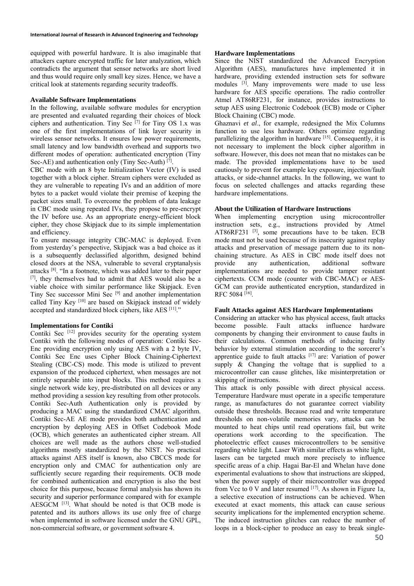equipped with powerful hardware. It is also imaginable that attackers capture encrypted traffic for later analyzation, which contradicts the argument that sensor networks are short lived and thus would require only small key sizes. Hence, we have a critical look at statements regarding security tradeoffs.

### **Available Software Implementations**

In the following, available software modules for encryption are presented and evaluated regarding their choices of block ciphers and authentication. Tiny Sec  $[7]$  for Tiny OS 1.x was one of the first implementations of link layer security in wireless sensor networks. It ensures low power requirements, small latency and low bandwidth overhead and supports two different modes of operation: authenticated encryption (Tiny Sec-AE) and authentication only (Tiny Sec-Auth) [7].

CBC mode with an 8 byte Initialization Vector (IV) is used together with a block cipher. Stream ciphers were excluded as they are vulnerable to repeating IVs and an addition of more bytes to a packet would violate their premise of keeping the packet sizes small. To overcome the problem of data leakage in CBC mode using repeated IVs, they propose to pre-encrypt the IV before use. As an appropriate energy-efficient block cipher, they chose Skipjack due to its simple implementation and efficiency.

To ensure message integrity CBC-MAC is deployed. Even from yesterday's perspective, Skipjack was a bad choice as it is a subsequently declassified algorithm, designed behind closed doors at the NSA, vulnerable to several cryptanalysis attacks [8]. "In a footnote, which was added later to their paper [7], they themselves had to admit that AES would also be a viable choice with similar performance like Skipjack. Even Tiny Sec successor Mini Sec [9] and another implementation called Tiny Key<sup>[10]</sup> are based on Skipjack instead of widely accepted and standardized block ciphers, like AES [11]."

## **Implementations for Contiki**

Contiki Sec  $[12]$  provides security for the operating system Contiki with the following modes of operation: Contiki Sec-Enc providing encryption only using AES with a 2 byte IV, Contiki Sec Enc uses Cipher Block Chaining-Ciphertext Stealing (CBC-CS) mode. This mode is utilized to prevent expansion of the produced ciphertext, when messages are not entirely separable into input blocks. This method requires a single network wide key, pre-distributed on all devices or any method providing a session key resulting from other protocols. Contiki Sec-Auth Authentication only is provided by producing a MAC using the standardized CMAC algorithm. Contiki Sec-AE AE mode provides both authentication and encryption by deploying AES in Offset Codebook Mode (OCB), which generates an authenticated cipher stream. All choices are well made as the authors chose well-studied algorithms mostly standardized by the NIST. No practical attacks against AES itself is known, also CBCCS mode for encryption only and CMAC for authentication only are sufficiently secure regarding their requirements. OCB mode for combined authentication and encryption is also the best choice for this purpose, because formal analysis has shown its security and superior performance compared with for example AESGCM [13]. What should be noted is that OCB mode is patented and its authors allows its use only free of charge when implemented in software licensed under the GNU GPL, non-commercial software, or government software 4.

## **Hardware Implementations**

Since the NIST standardized the Advanced Encryption Algorithm (AES), manufactures have implemented it in hardware, providing extended instruction sets for software modules <sup>[3]</sup>. Many improvements were made to use less hardware for AES specific operations. The radio controller Atmel AT86RF231, for instance, provides instructions to setup AES using Electronic Codebook (ECB) mode or Cipher Block Chaining (CBC) mode.

Ghaznavi *et al*., for example, redesigned the Mix Columns function to use less hardware. Others optimize regarding parallelizing the algorithm in hardware [15]. Consequently, it is not necessary to implement the block cipher algorithm in software. However, this does not mean that no mistakes can be made. The provided implementations have to be used cautiously to prevent for example key exposure, injection/fault attacks, or side-channel attacks. In the following, we want to focus on selected challenges and attacks regarding these hardware implementations.

# **About the Utilization of Hardware Instructions**

When implementing encryption using microcontroller instruction sets, e.g., instructions provided by Atmel AT86RF231 $^{[3]}$ , some precautions have to be taken. ECB mode must not be used because of its insecurity against replay attacks and preservation of message pattern due to its nonchaining structure. As AES in CBC mode itself does not provide any authentication, additional software implementations are needed to provide tamper resistant ciphertexts. CCM mode (counter with CBC-MAC) or AES-GCM can provide authenticated encryption, standardized in RFC 5084<sup>[16]</sup>.

## **Fault Attacks against AES Hardware Implementations**

Considering an attacker who has physical access, fault attacks become possible. Fault attacks influence hardware components by changing their environment to cause faults in their calculations. Common methods of inducing faulty behavior by external stimulation according to the sorcerer's apprentice guide to fault attacks  $[17]$  are: Variation of power supply & Changing the voltage that is supplied to a microcontroller can cause glitches, like misinterpretation or skipping of instructions.

This attack is only possible with direct physical access. Temperature Hardware must operate in a specific temperature range, as manufactures do not guarantee correct viability outside these thresholds. Because read and write temperature thresholds on non-volatile memories vary, attacks can be mounted to heat chips until read operations fail, but write operations work according to the specification. The photoelectric effect causes microcontrollers to be sensitive regarding white light. Laser With similar effects as white light, lasers can be targeted much more precisely to influence specific areas of a chip. Hagai Bar-El and Whelan have done experimental evaluations to show that instructions are skipped, when the power supply of their microcontroller was dropped from Vcc to 0 V and later resumed  $[17]$ . As shown in Figure 1a, a selective execution of instructions can be achieved. When executed at exact moments, this attack can cause serious security implications for the implemented encryption scheme. The induced instruction glitches can reduce the number of loops in a block-cipher to produce an easy to break single-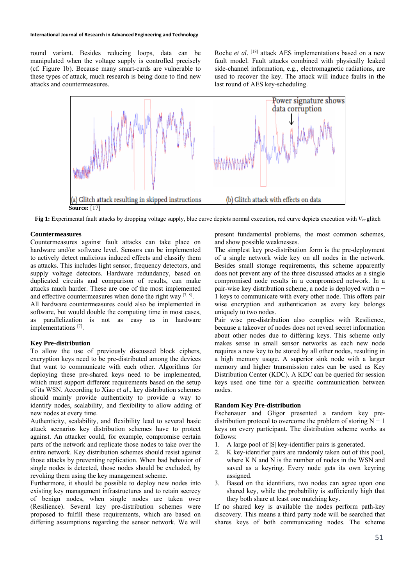#### **International Journal of Research in Advanced Engineering and Technology**

round variant. Besides reducing loops, data can be manipulated when the voltage supply is controlled precisely (cf. Figure 1b). Because many smart-cards are vulnerable to these types of attack, much research is being done to find new attacks and countermeasures.

Roche *et al*. [18] attack AES implementations based on a new fault model. Fault attacks combined with physically leaked side-channel information, e.g., electromagnetic radiations, are used to recover the key. The attack will induce faults in the last round of AES key-scheduling.



**Fig 1:** Experimental fault attacks by dropping voltage supply, blue curve depicts normal execution, red curve depicts execution with *Vcc* glitch

### **Countermeasures**

Countermeasures against fault attacks can take place on hardware and/or software level. Sensors can be implemented to actively detect malicious induced effects and classify them as attacks. This includes light sensor, frequency detectors, and supply voltage detectors. Hardware redundancy, based on duplicated circuits and comparison of results, can make attacks much harder. These are one of the most implemented and effective countermeasures when done the right way  $[7, 8]$ .

All hardware countermeasures could also be implemented in software, but would double the computing time in most cases, as parallelization is not as easy as in hardware implementations [7].

#### **Key Pre-distribution**

To allow the use of previously discussed block ciphers, encryption keys need to be pre-distributed among the devices that want to communicate with each other. Algorithms for deploying these pre-shared keys need to be implemented, which must support different requirements based on the setup of its WSN. According to Xiao *et al*., key distribution schemes should mainly provide authenticity to provide a way to identify nodes, scalability, and flexibility to allow adding of new nodes at every time.

Authenticity, scalability, and flexibility lead to several basic attack scenarios key distribution schemes have to protect against. An attacker could, for example, compromise certain parts of the network and replicate those nodes to take over the entire network. Key distribution schemes should resist against those attacks by preventing replication. When bad behavior of single nodes is detected, those nodes should be excluded, by revoking them using the key management scheme.

Furthermore, it should be possible to deploy new nodes into existing key management infrastructures and to retain secrecy of benign nodes, when single nodes are taken over (Resilience). Several key pre-distribution schemes were proposed to fulfill these requirements, which are based on differing assumptions regarding the sensor network. We will

present fundamental problems, the most common schemes, and show possible weaknesses.

The simplest key pre-distribution form is the pre-deployment of a single network wide key on all nodes in the network. Besides small storage requirements, this scheme apparently does not prevent any of the three discussed attacks as a single compromised node results in a compromised network. In a pair-wise key distribution scheme, a node is deployed with n − 1 keys to communicate with every other node. This offers pair wise encryption and authentication as every key belongs uniquely to two nodes.

Pair wise pre-distribution also complies with Resilience, because a takeover of nodes does not reveal secret information about other nodes due to differing keys. This scheme only makes sense in small sensor networks as each new node requires a new key to be stored by all other nodes, resulting in a high memory usage. A superior sink node with a larger memory and higher transmission rates can be used as Key Distribution Center (KDC). A KDC can be queried for session keys used one time for a specific communication between nodes.

### **Random Key Pre-distribution**

Eschenauer and Gligor presented a random key predistribution protocol to overcome the problem of storing  $N - 1$ keys on every participant. The distribution scheme works as follows:

- 1. A large pool of |S| key-identifier pairs is generated.
- 2. K key-identifier pairs are randomly taken out of this pool, where K N and N is the number of nodes in the WSN and saved as a keyring. Every node gets its own keyring assigned.
- 3. Based on the identifiers, two nodes can agree upon one shared key, while the probability is sufficiently high that they both share at least one matching key.

If no shared key is available the nodes perform path-key discovery. This means a third party node will be searched that shares keys of both communicating nodes. The scheme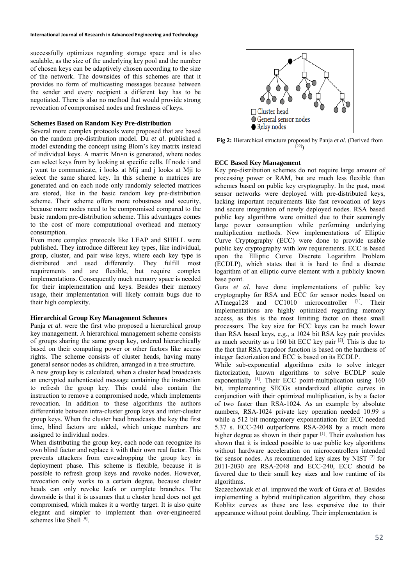successfully optimizes regarding storage space and is also scalable, as the size of the underlying key pool and the number of chosen keys can be adaptively chosen according to the size of the network. The downsides of this schemes are that it provides no form of multicasting messages because between the sender and every recipient a different key has to be negotiated. There is also no method that would provide strong revocation of compromised nodes and freshness of keys.

## **Schemes Based on Random Key Pre-distribution**

Several more complex protocols were proposed that are based on the random pre-distribution model. Du *et al*. published a model extending the concept using Blom's key matrix instead of individual keys. A matrix Mn×n is generated, where nodes can select keys from by looking at specific cells. If node i and j want to communicate, i looks at Mij and j looks at Mji to select the same shared key. In this scheme n matrices are generated and on each node only randomly selected matrices are stored, like in the basic random key pre-distribution scheme. Their scheme offers more robustness and security, because more nodes need to be compromised compared to the basic random pre-distribution scheme. This advantages comes to the cost of more computational overhead and memory consumption.

Even more complex protocols like LEAP and SHELL were published. They introduce different key types, like individual, group, cluster, and pair wise keys, where each key type is distributed and used differently. They fulfill most requirements and are flexible, but require complex implementations. Consequently much memory space is needed for their implementation and keys. Besides their memory usage, their implementation will likely contain bugs due to their high complexity.

## **Hierarchical Group Key Management Schemes**

Panja *et al*. were the first who proposed a hierarchical group key management. A hierarchical management scheme consists of groups sharing the same group key, ordered hierarchically based on their computing power or other factors like access rights. The scheme consists of cluster heads, having many general sensor nodes as children, arranged in a tree structure.

A new group key is calculated, when a cluster head broadcasts an encrypted authenticated message containing the instruction to refresh the group key. This could also contain the instruction to remove a compromised node, which implements revocation. In addition to these algorithms the authors differentiate between intra-cluster group keys and inter-cluster group keys. When the cluster head broadcasts the key the first time, blind factors are added, which unique numbers are assigned to individual nodes.

When distributing the group key, each node can recognize its own blind factor and replace it with their own real factor. This prevents attackers from eavesdropping the group key in deployment phase. This scheme is flexible, because it is possible to refresh group keys and revoke nodes. However, revocation only works to a certain degree, because cluster heads can only revoke leafs or complete branches. The downside is that it is assumes that a cluster head does not get compromised, which makes it a worthy target. It is also quite elegant and simpler to implement than over-engineered schemes like Shell [9].



**Fig 2:** Hierarchical structure proposed by Panja *et al*. (Derived from  $[22]$ 

# **ECC Based Key Management**

Key pre-distribution schemes do not require large amount of processing power or RAM, but are much less flexible than schemes based on public key cryptography. In the past, most sensor networks were deployed with pre-distributed keys, lacking important requirements like fast revocation of keys and secure integration of newly deployed nodes. RSA based public key algorithms were omitted due to their seemingly large power consumption while performing underlying multiplication methods. New implementations of Elliptic Curve Cryptography (ECC) were done to provide usable public key cryptography with low requirements. ECC is based upon the Elliptic Curve Discrete Logarithm Problem (ECDLP), which states that it is hard to find a discrete logarithm of an elliptic curve element with a publicly known base point.

Gura *et al*. have done implementations of public key cryptography for RSA and ECC for sensor nodes based on ATmega128 and CC1010 microcontroller <sup>[1]</sup>. Their implementations are highly optimized regarding memory access, as this is the most limiting factor on these small processors. The key size for ECC keys can be much lower than RSA based keys, e.g., a 1024 bit RSA key pair provides as much security as a 160 bit ECC key pair  $[2]$ . This is due to the fact that RSA trapdoor function is based on the hardness of integer factorization and ECC is based on its ECDLP.

While sub-exponential algorithms exits to solve integer factorization, known algorithms to solve ECDLP scale exponentially  $[1]$ . Their ECC point-multiplication using 160 bit, implementing SECGs standardized elliptic curves in conjunction with their optimized multiplication, is by a factor of two faster than RSA-1024. As an example by absolute numbers, RSA-1024 private key operation needed 10.99 s while a 512 bit montgomery exponentiation for ECC needed 5.37 s. ECC-240 outperforms RSA-2048 by a much more higher degree as shown in their paper [1]. Their evaluation has shown that it is indeed possible to use public key algorithms without hardware acceleration on microcontrollers intended for sensor nodes. As recommended key sizes by NIST [2] for 2011-2030 are RSA-2048 and ECC-240, ECC should be favored due to their small key sizes and low runtime of its algorithms.

Szczechowiak *et al*. improved the work of Gura *et al*. Besides implementing a hybrid multiplication algorithm, they chose Koblitz curves as these are less expensive due to their appearance without point doubling. Their implementation is